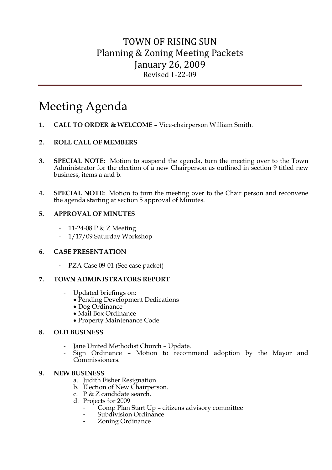# Meeting Agenda

**1. CALL TO ORDER & WELCOME –** Vice-chairperson William Smith.

#### **2. ROLL CALL OF MEMBERS**

- **3. SPECIAL NOTE:** Motion to suspend the agenda, turn the meeting over to the Town Administrator for the election of a new Chairperson as outlined in section 9 titled new business, items a and b.
- **4. SPECIAL NOTE:** Motion to turn the meeting over to the Chair person and reconvene the agenda starting at section 5 approval of Minutes.

#### **5. APPROVAL OF MINUTES**

- 11-24-08 P & Z Meeting
- 1/17/09 Saturday Workshop

#### **6. CASE PRESENTATION**

- PZA Case 09-01 (See case packet)

#### **7. TOWN ADMINISTRATORS REPORT**

- Updated briefings on:
	- Pending Development Dedications
	- Dog Ordinance
	- Mail Box Ordinance
	- Property Maintenance Code

#### **8. OLD BUSINESS**

- Jane United Methodist Church Update.
- Sign Ordinance Motion to recommend adoption by the Mayor and Commissioners.

#### **9. NEW BUSINESS**

- a. Judith Fisher Resignation
- b. Election of New Chairperson.
- c. P & Z candidate search.
- d. Projects for 2009
	- Comp Plan Start Up citizens advisory committee
	- Subdivision Ordinance
	- Zoning Ordinance